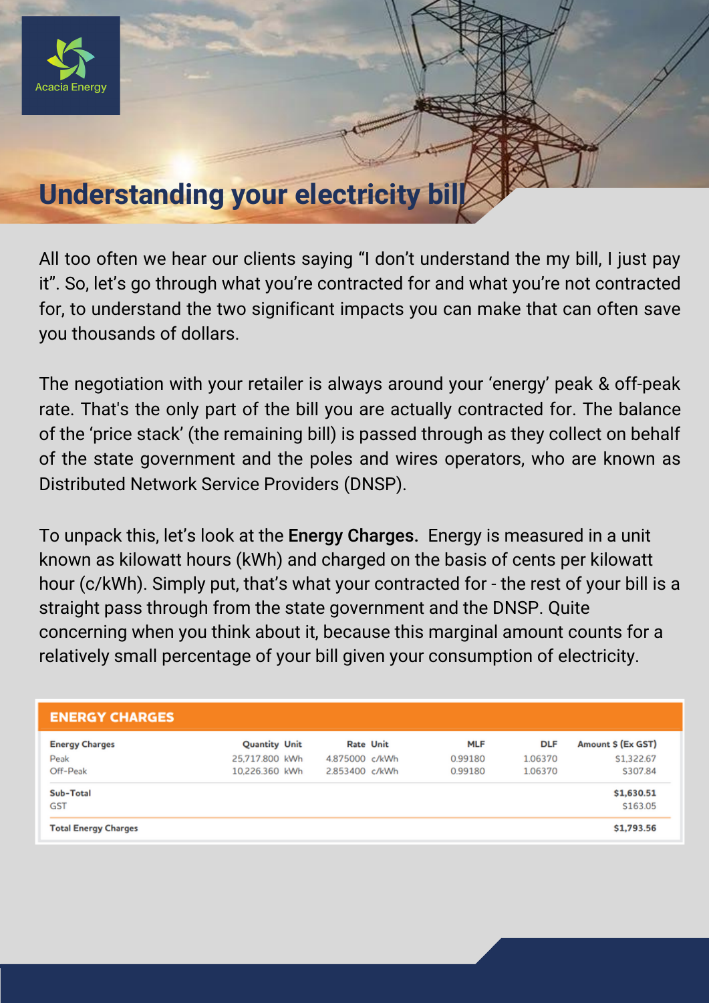

## **Understanding your electricity bill**

All too often we hear our clients saying "I don't understand the my bill, I just pay it". So, let's go through what you're contracted for and what you're not contracted for, to understand the two significant impacts you can make that can often save you thousands of dollars.

The negotiation with your retailer is always around your 'energy' peak & off-peak rate. That's the only part of the bill you are actually contracted for. The balance of the 'price stack' (the remaining bill) is passed through as they collect on behalf of the state government and the poles and wires operators, who are known as Distributed Network Service Providers (DNSP).

To unpack this, let's look at the Energy Charges. Energy is measured in a unit known as kilowatt hours (kWh) and charged on the basis of cents per kilowatt hour (c/kWh). Simply put, that's what your contracted for - the rest of your bill is a straight pass through from the state government and the DNSP. Quite concerning when you think about it, because this marginal amount counts for a relatively small percentage of your bill given your consumption of electricity.

| <b>ENERGY CHARGES</b>                     |                                                          |                                  |                  |                                  |                                  |                                            |
|-------------------------------------------|----------------------------------------------------------|----------------------------------|------------------|----------------------------------|----------------------------------|--------------------------------------------|
| <b>Energy Charges</b><br>Peak<br>Off-Peak | <b>Quantity Unit</b><br>25,717,800 kWh<br>10,226,360 kWh | 4.875000 c/kWh<br>2.853400 c/kWh | <b>Rate Unit</b> | <b>MLF</b><br>0.99180<br>0.99180 | <b>DLF</b><br>1.06370<br>1.06370 | Amount \$ (Ex GST)<br>S1.322.67<br>S307.84 |
| Sub-Total<br><b>GST</b>                   |                                                          |                                  |                  |                                  |                                  | \$1,630.51<br>\$163.05                     |
| <b>Total Energy Charges</b>               |                                                          |                                  |                  |                                  |                                  | \$1,793.56                                 |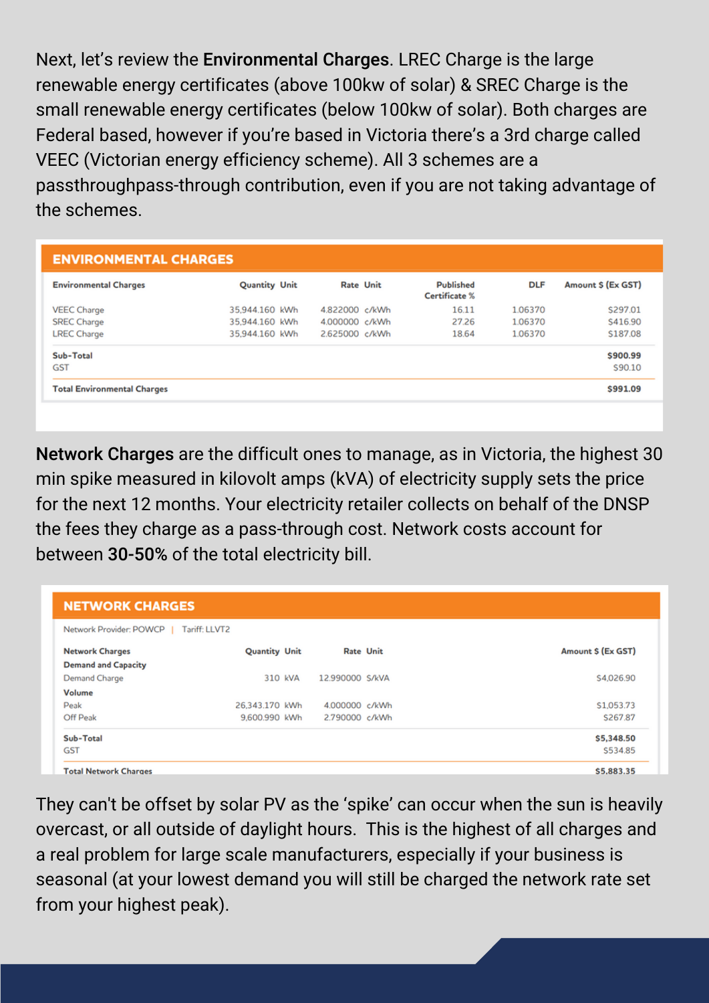Next, let's review the Environmental Charges. LREC Charge is the large renewable energy certificates (above 100kw of solar) & SREC Charge is the small renewable energy certificates (below 100kw of solar). Both charges are Federal based, however if you're based in Victoria there's a 3rd charge called VEEC (Victorian energy efficiency scheme). All 3 schemes are a passthroughpass-through contribution, even if you are not taking advantage of the schemes.

| <b>ENVIRONMENTAL CHARGES</b>       |                      |  |                  |  |                                          |            |                    |  |
|------------------------------------|----------------------|--|------------------|--|------------------------------------------|------------|--------------------|--|
| <b>Environmental Charges</b>       | <b>Quantity Unit</b> |  | <b>Rate Unit</b> |  | <b>Published</b><br><b>Certificate %</b> | <b>DLF</b> | Amount \$ (Ex GST) |  |
| <b>VEEC Charge</b>                 | 35.944.160 kWh       |  | 4.822000 c/kWh   |  | 16.11                                    | 1.06370    | \$297.01           |  |
| <b>SREC Charge</b>                 | 35,944.160 kWh       |  | 4.000000 c/kWh   |  | 27.26                                    | 1.06370    | S416.90            |  |
| <b>LREC Charge</b>                 | 35.944.160 kWh       |  | 2.625000 c/kWh   |  | 18.64                                    | 1.06370    | \$187.08           |  |
| Sub-Total<br><b>GST</b>            |                      |  |                  |  |                                          |            | \$900.99<br>S90.10 |  |
| <b>Total Environmental Charges</b> |                      |  |                  |  |                                          |            | \$991.09           |  |

Network Charges are the difficult ones to manage, as in Victoria, the highest 30 min spike measured in kilovolt amps (kVA) of electricity supply sets the price for the next 12 months. Your electricity retailer collects on behalf of the DNSP the fees they charge as a pass-through cost. Network costs account for between 30-50% of the total electricity bill.

| <b>NETWORK CHARGES</b><br>Network Provider: POWCP<br>Tariff: LLVT2 |                |                 |  |            |  |  |
|--------------------------------------------------------------------|----------------|-----------------|--|------------|--|--|
|                                                                    |                |                 |  |            |  |  |
| <b>Demand and Capacity</b>                                         |                |                 |  |            |  |  |
| <b>Demand Charge</b>                                               | 310 KVA        | 12.990000 S/kVA |  | \$4,026.90 |  |  |
| Volume                                                             |                |                 |  |            |  |  |
| Peak                                                               | 26.343.170 kWh | 4.000000 c/kWh  |  | \$1,053.73 |  |  |
| Off Peak                                                           | 9,600.990 kWh  | 2.790000 c/kWh  |  | S267.87    |  |  |
| Sub-Total                                                          |                |                 |  | \$5,348.50 |  |  |
| GST                                                                |                |                 |  | S534.85    |  |  |
| <b>Total Network Charges</b>                                       |                |                 |  | \$5,883.35 |  |  |

They can't be offset by solar PV as the 'spike' can occur when the sun is heavily overcast, or all outside of daylight hours. This is the highest of all charges and a real problem for large scale manufacturers, especially if your business is seasonal (at your lowest demand you will still be charged the network rate set from your highest peak).